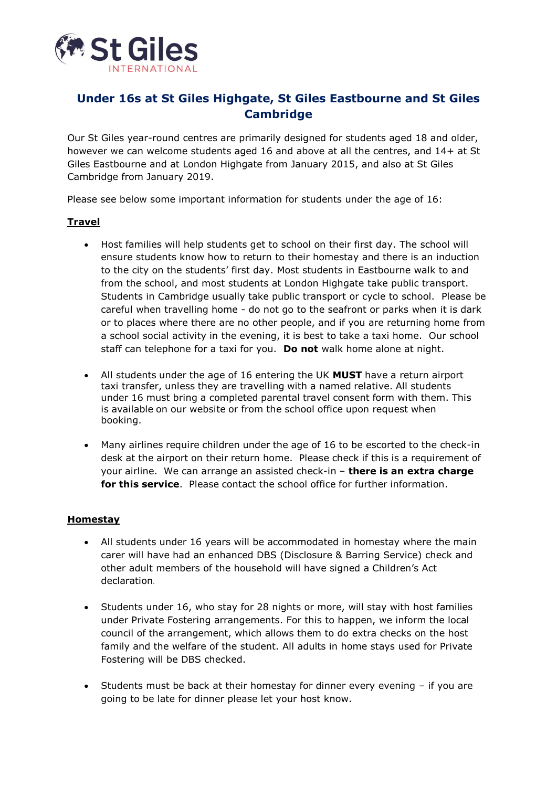

# **Under 16s at St Giles Highgate, St Giles Eastbourne and St Giles Cambridge**

Our St Giles year-round centres are primarily designed for students aged 18 and older, however we can welcome students aged 16 and above at all the centres, and 14+ at St Giles Eastbourne and at London Highgate from January 2015, and also at St Giles Cambridge from January 2019.

Please see below some important information for students under the age of 16:

### **Travel**

- Host families will help students get to school on their first day. The school will ensure students know how to return to their homestay and there is an induction to the city on the students' first day. Most students in Eastbourne walk to and from the school, and most students at London Highgate take public transport. Students in Cambridge usually take public transport or cycle to school. Please be careful when travelling home - do not go to the seafront or parks when it is dark or to places where there are no other people, and if you are returning home from a school social activity in the evening, it is best to take a taxi home. Our school staff can telephone for a taxi for you. **Do not** walk home alone at night.
- All students under the age of 16 entering the UK **MUST** have a return airport taxi transfer, unless they are travelling with a named relative. All students under 16 must bring a completed parental travel consent form with them. This is available on our website or from the school office upon request when booking.
- Many airlines require children under the age of 16 to be escorted to the check-in desk at the airport on their return home. Please check if this is a requirement of your airline. We can arrange an assisted check-in – **there is an extra charge for this service**. Please contact the school office for further information.

### **Homestay**

- All students under 16 years will be accommodated in homestay where the main carer will have had an enhanced DBS (Disclosure & Barring Service) check and other adult members of the household will have signed a Children's Act declaration.
- Students under 16, who stay for 28 nights or more, will stay with host families under Private Fostering arrangements. For this to happen, we inform the local council of the arrangement, which allows them to do extra checks on the host family and the welfare of the student. All adults in home stays used for Private Fostering will be DBS checked.
- Students must be back at their homestay for dinner every evening if you are going to be late for dinner please let your host know.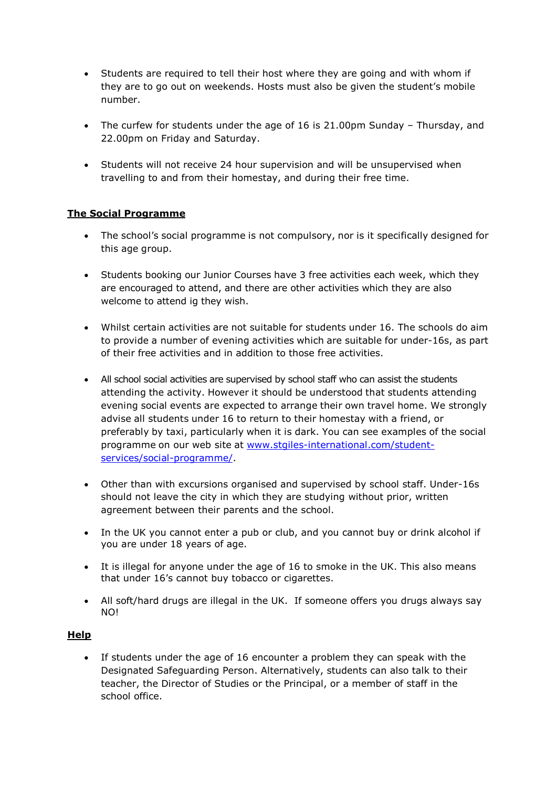- Students are required to tell their host where they are going and with whom if they are to go out on weekends. Hosts must also be given the student's mobile number.
- The curfew for students under the age of 16 is 21.00pm Sunday Thursday, and 22.00pm on Friday and Saturday.
- Students will not receive 24 hour supervision and will be unsupervised when travelling to and from their homestay, and during their free time.

## **The Social Programme**

- The school's social programme is not compulsory, nor is it specifically designed for this age group.
- Students booking our Junior Courses have 3 free activities each week, which they are encouraged to attend, and there are other activities which they are also welcome to attend ig they wish.
- Whilst certain activities are not suitable for students under 16. The schools do aim to provide a number of evening activities which are suitable for under-16s, as part of their free activities and in addition to those free activities.
- All school social activities are supervised by school staff who can assist the students attending the activity. However it should be understood that students attending evening social events are expected to arrange their own travel home. We strongly advise all students under 16 to return to their homestay with a friend, or preferably by taxi, particularly when it is dark. You can see examples of the social programme on our web site at [www.stgiles-international.com/student](http://www.stgiles-international.com/student-services/social-programme/)[services/social-programme/.](http://www.stgiles-international.com/student-services/social-programme/)
- Other than with excursions organised and supervised by school staff. Under-16s should not leave the city in which they are studying without prior, written agreement between their parents and the school.
- In the UK you cannot enter a pub or club, and you cannot buy or drink alcohol if you are under 18 years of age.
- It is illegal for anyone under the age of 16 to smoke in the UK. This also means that under 16's cannot buy tobacco or cigarettes.
- All soft/hard drugs are illegal in the UK. If someone offers you drugs always say NO!

### **Help**

 If students under the age of 16 encounter a problem they can speak with the Designated Safeguarding Person. Alternatively, students can also talk to their teacher, the Director of Studies or the Principal, or a member of staff in the school office.